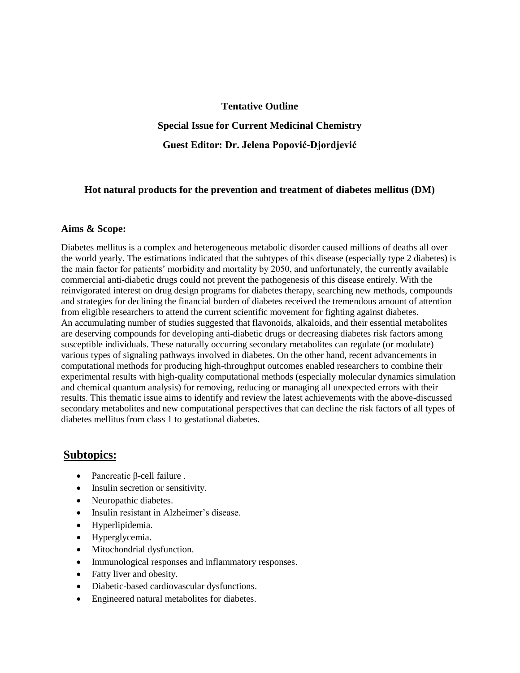### **Tentative Outline**

**Special Issue for Current Medicinal Chemistry**

**Guest Editor: Dr. Jelena Popović-Djordjević**

### **Hot natural products for the prevention and treatment of diabetes mellitus (DM)**

### **Aims & Scope:**

Diabetes mellitus is a complex and heterogeneous metabolic disorder caused millions of deaths all over the world yearly. The estimations indicated that the subtypes of this disease (especially type 2 diabetes) is the main factor for patients' morbidity and mortality by 2050, and unfortunately, the currently available commercial anti-diabetic drugs could not prevent the pathogenesis of this disease entirely. With the reinvigorated interest on drug design programs for diabetes therapy, searching new methods, compounds and strategies for declining the financial burden of diabetes received the tremendous amount of attention from eligible researchers to attend the current scientific movement for fighting against diabetes. An accumulating number of studies suggested that flavonoids, alkaloids, and their essential metabolites are deserving compounds for developing anti-diabetic drugs or decreasing diabetes risk factors among susceptible individuals. These naturally occurring secondary metabolites can regulate (or modulate) various types of signaling pathways involved in diabetes. On the other hand, recent advancements in computational methods for producing high-throughput outcomes enabled researchers to combine their experimental results with high-quality computational methods (especially molecular dynamics simulation and chemical quantum analysis) for removing, reducing or managing all unexpected errors with their results. This thematic issue aims to identify and review the latest achievements with the above-discussed secondary metabolites and new computational perspectives that can decline the risk factors of all types of diabetes mellitus from class 1 to gestational diabetes.

# **Subtopics:**

- Pancreatic β-cell failure .
- Insulin secretion or sensitivity.
- Neuropathic diabetes.
- Insulin resistant in Alzheimer's disease.
- Hyperlipidemia.
- Hyperglycemia.
- Mitochondrial dysfunction.
- Immunological responses and inflammatory responses.
- Fatty liver and obesity.
- Diabetic-based cardiovascular dysfunctions.
- Engineered natural metabolites for diabetes.